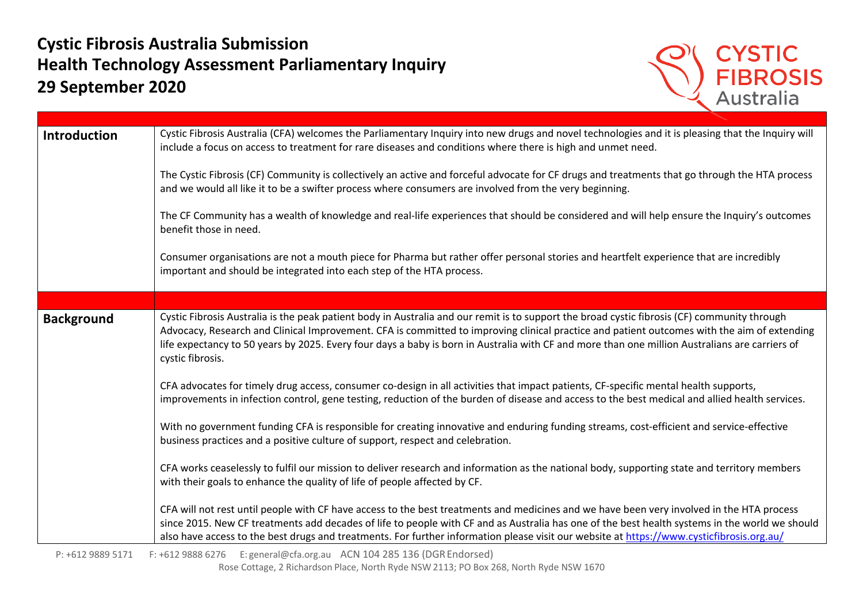## **Cystic Fibrosis Australia Submission Health Technology Assessment Parliamentary Inquiry 29 September 2020**



| <b>Introduction</b> | Cystic Fibrosis Australia (CFA) welcomes the Parliamentary Inquiry into new drugs and novel technologies and it is pleasing that the Inquiry will<br>include a focus on access to treatment for rare diseases and conditions where there is high and unmet need.                                                                                                                                                                                                  |
|---------------------|-------------------------------------------------------------------------------------------------------------------------------------------------------------------------------------------------------------------------------------------------------------------------------------------------------------------------------------------------------------------------------------------------------------------------------------------------------------------|
|                     | The Cystic Fibrosis (CF) Community is collectively an active and forceful advocate for CF drugs and treatments that go through the HTA process<br>and we would all like it to be a swifter process where consumers are involved from the very beginning.                                                                                                                                                                                                          |
|                     | The CF Community has a wealth of knowledge and real-life experiences that should be considered and will help ensure the Inquiry's outcomes<br>benefit those in need.                                                                                                                                                                                                                                                                                              |
|                     | Consumer organisations are not a mouth piece for Pharma but rather offer personal stories and heartfelt experience that are incredibly<br>important and should be integrated into each step of the HTA process.                                                                                                                                                                                                                                                   |
|                     |                                                                                                                                                                                                                                                                                                                                                                                                                                                                   |
| <b>Background</b>   | Cystic Fibrosis Australia is the peak patient body in Australia and our remit is to support the broad cystic fibrosis (CF) community through<br>Advocacy, Research and Clinical Improvement. CFA is committed to improving clinical practice and patient outcomes with the aim of extending<br>life expectancy to 50 years by 2025. Every four days a baby is born in Australia with CF and more than one million Australians are carriers of<br>cystic fibrosis. |
|                     | CFA advocates for timely drug access, consumer co-design in all activities that impact patients, CF-specific mental health supports,<br>improvements in infection control, gene testing, reduction of the burden of disease and access to the best medical and allied health services.                                                                                                                                                                            |
|                     | With no government funding CFA is responsible for creating innovative and enduring funding streams, cost-efficient and service-effective<br>business practices and a positive culture of support, respect and celebration.                                                                                                                                                                                                                                        |
|                     | CFA works ceaselessly to fulfil our mission to deliver research and information as the national body, supporting state and territory members<br>with their goals to enhance the quality of life of people affected by CF.                                                                                                                                                                                                                                         |
|                     | CFA will not rest until people with CF have access to the best treatments and medicines and we have been very involved in the HTA process<br>since 2015. New CF treatments add decades of life to people with CF and as Australia has one of the best health systems in the world we should<br>also have access to the best drugs and treatments. For further information please visit our website at https://www.cysticfibrosis.org.au/                          |

Rose Cottage, 2 Richardson Place, North Ryde NSW 2113; PO Box 268, North Ryde NSW 1670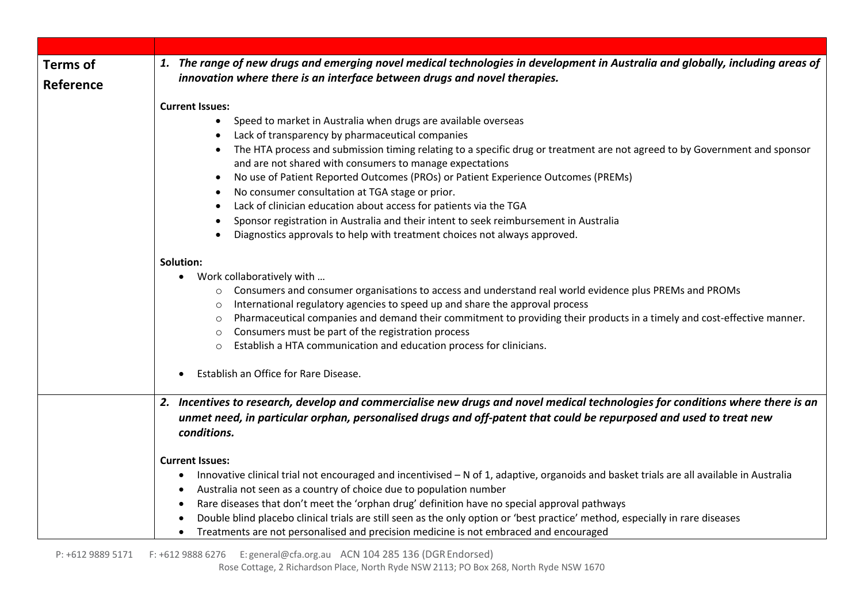| <b>Terms of</b> | 1. The range of new drugs and emerging novel medical technologies in development in Australia and globally, including areas of                        |
|-----------------|-------------------------------------------------------------------------------------------------------------------------------------------------------|
| Reference       | innovation where there is an interface between drugs and novel therapies.                                                                             |
|                 |                                                                                                                                                       |
|                 | <b>Current Issues:</b>                                                                                                                                |
|                 | Speed to market in Australia when drugs are available overseas<br>$\bullet$                                                                           |
|                 | Lack of transparency by pharmaceutical companies                                                                                                      |
|                 | The HTA process and submission timing relating to a specific drug or treatment are not agreed to by Government and sponsor                            |
|                 | and are not shared with consumers to manage expectations                                                                                              |
|                 | No use of Patient Reported Outcomes (PROs) or Patient Experience Outcomes (PREMs)                                                                     |
|                 | No consumer consultation at TGA stage or prior.<br>Lack of clinician education about access for patients via the TGA                                  |
|                 | Sponsor registration in Australia and their intent to seek reimbursement in Australia                                                                 |
|                 | Diagnostics approvals to help with treatment choices not always approved.                                                                             |
|                 |                                                                                                                                                       |
|                 | Solution:                                                                                                                                             |
|                 | Work collaboratively with<br>$\bullet$                                                                                                                |
|                 | Consumers and consumer organisations to access and understand real world evidence plus PREMs and PROMs<br>$\circ$                                     |
|                 | International regulatory agencies to speed up and share the approval process<br>$\circ$                                                               |
|                 | Pharmaceutical companies and demand their commitment to providing their products in a timely and cost-effective manner.<br>$\circ$                    |
|                 | Consumers must be part of the registration process<br>$\circ$                                                                                         |
|                 | Establish a HTA communication and education process for clinicians.<br>$\circ$                                                                        |
|                 | Establish an Office for Rare Disease.                                                                                                                 |
|                 |                                                                                                                                                       |
|                 | 2. Incentives to research, develop and commercialise new drugs and novel medical technologies for conditions where there is an                        |
|                 | unmet need, in particular orphan, personalised drugs and off-patent that could be repurposed and used to treat new                                    |
|                 | conditions.                                                                                                                                           |
|                 |                                                                                                                                                       |
|                 | <b>Current Issues:</b>                                                                                                                                |
|                 | Innovative clinical trial not encouraged and incentivised - N of 1, adaptive, organoids and basket trials are all available in Australia<br>$\bullet$ |
|                 | Australia not seen as a country of choice due to population number<br>$\bullet$                                                                       |
|                 | Rare diseases that don't meet the 'orphan drug' definition have no special approval pathways                                                          |
|                 | Double blind placebo clinical trials are still seen as the only option or 'best practice' method, especially in rare diseases                         |
|                 | Treatments are not personalised and precision medicine is not embraced and encouraged                                                                 |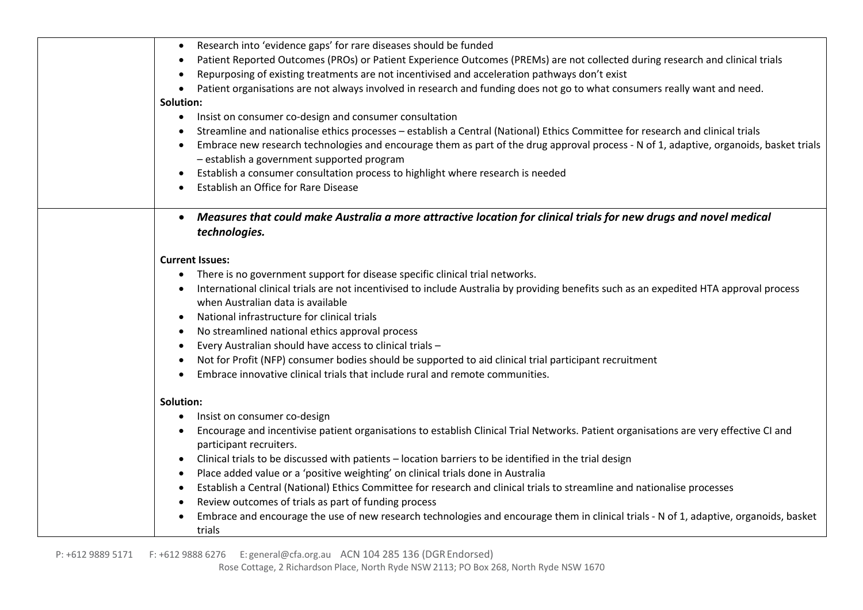| Research into 'evidence gaps' for rare diseases should be funded<br>$\bullet$                                                                        |
|------------------------------------------------------------------------------------------------------------------------------------------------------|
| Patient Reported Outcomes (PROs) or Patient Experience Outcomes (PREMs) are not collected during research and clinical trials<br>$\bullet$           |
| Repurposing of existing treatments are not incentivised and acceleration pathways don't exist<br>$\bullet$                                           |
| Patient organisations are not always involved in research and funding does not go to what consumers really want and need.<br>$\bullet$               |
| Solution:                                                                                                                                            |
| Insist on consumer co-design and consumer consultation<br>$\bullet$                                                                                  |
| Streamline and nationalise ethics processes - establish a Central (National) Ethics Committee for research and clinical trials<br>$\bullet$          |
| Embrace new research technologies and encourage them as part of the drug approval process - N of 1, adaptive, organoids, basket trials<br>$\bullet$  |
| - establish a government supported program                                                                                                           |
| Establish a consumer consultation process to highlight where research is needed                                                                      |
| Establish an Office for Rare Disease<br>$\bullet$                                                                                                    |
|                                                                                                                                                      |
| Measures that could make Australia a more attractive location for clinical trials for new drugs and novel medical                                    |
| technologies.                                                                                                                                        |
|                                                                                                                                                      |
| <b>Current Issues:</b>                                                                                                                               |
| There is no government support for disease specific clinical trial networks.<br>$\bullet$                                                            |
| International clinical trials are not incentivised to include Australia by providing benefits such as an expedited HTA approval process<br>$\bullet$ |
| when Australian data is available                                                                                                                    |
| National infrastructure for clinical trials<br>$\bullet$                                                                                             |
| No streamlined national ethics approval process<br>$\bullet$                                                                                         |
| Every Australian should have access to clinical trials -<br>$\bullet$                                                                                |
| Not for Profit (NFP) consumer bodies should be supported to aid clinical trial participant recruitment<br>$\bullet$                                  |
| Embrace innovative clinical trials that include rural and remote communities.<br>$\bullet$                                                           |
|                                                                                                                                                      |
| Solution:                                                                                                                                            |
| Insist on consumer co-design<br>$\bullet$                                                                                                            |
| Encourage and incentivise patient organisations to establish Clinical Trial Networks. Patient organisations are very effective CI and<br>٠           |
| participant recruiters.                                                                                                                              |
|                                                                                                                                                      |
| Clinical trials to be discussed with patients - location barriers to be identified in the trial design<br>$\bullet$                                  |
| Place added value or a 'positive weighting' on clinical trials done in Australia<br>$\bullet$                                                        |
| Establish a Central (National) Ethics Committee for research and clinical trials to streamline and nationalise processes<br>$\bullet$                |
| Review outcomes of trials as part of funding process<br>$\bullet$                                                                                    |
| Embrace and encourage the use of new research technologies and encourage them in clinical trials - N of 1, adaptive, organoids, basket               |
| trials                                                                                                                                               |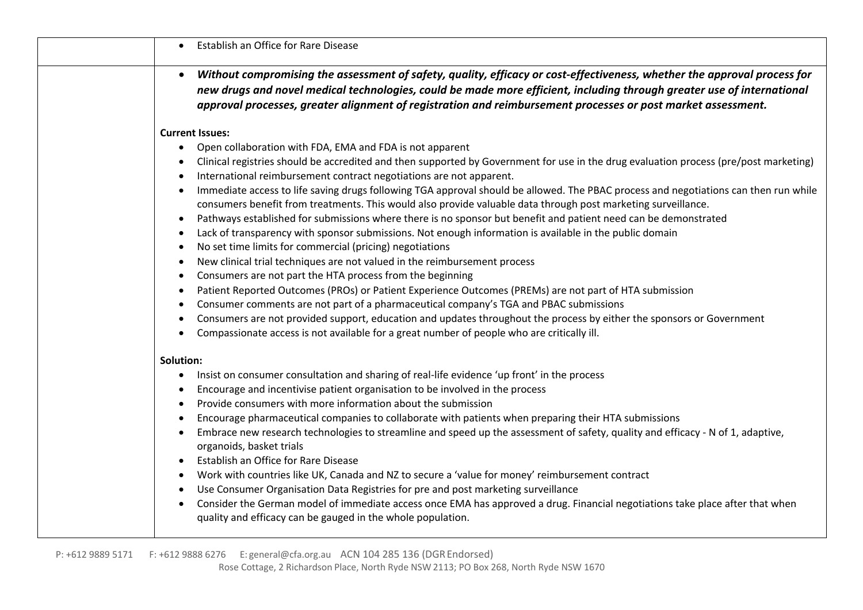| Establish an Office for Rare Disease                                                                                                                                                                                                                                                                                                                               |
|--------------------------------------------------------------------------------------------------------------------------------------------------------------------------------------------------------------------------------------------------------------------------------------------------------------------------------------------------------------------|
| Without compromising the assessment of safety, quality, efficacy or cost-effectiveness, whether the approval process for<br>new drugs and novel medical technologies, could be made more efficient, including through greater use of international<br>approval processes, greater alignment of registration and reimbursement processes or post market assessment. |
| <b>Current Issues:</b>                                                                                                                                                                                                                                                                                                                                             |
| Open collaboration with FDA, EMA and FDA is not apparent                                                                                                                                                                                                                                                                                                           |
| Clinical registries should be accredited and then supported by Government for use in the drug evaluation process (pre/post marketing)                                                                                                                                                                                                                              |
| International reimbursement contract negotiations are not apparent.                                                                                                                                                                                                                                                                                                |
| Immediate access to life saving drugs following TGA approval should be allowed. The PBAC process and negotiations can then run while<br>consumers benefit from treatments. This would also provide valuable data through post marketing surveillance.                                                                                                              |
| Pathways established for submissions where there is no sponsor but benefit and patient need can be demonstrated<br>$\bullet$                                                                                                                                                                                                                                       |
| Lack of transparency with sponsor submissions. Not enough information is available in the public domain                                                                                                                                                                                                                                                            |
| No set time limits for commercial (pricing) negotiations                                                                                                                                                                                                                                                                                                           |
| New clinical trial techniques are not valued in the reimbursement process                                                                                                                                                                                                                                                                                          |
| Consumers are not part the HTA process from the beginning<br>$\bullet$                                                                                                                                                                                                                                                                                             |
| Patient Reported Outcomes (PROs) or Patient Experience Outcomes (PREMs) are not part of HTA submission<br>$\bullet$<br>Consumer comments are not part of a pharmaceutical company's TGA and PBAC submissions                                                                                                                                                       |
| Consumers are not provided support, education and updates throughout the process by either the sponsors or Government                                                                                                                                                                                                                                              |
| Compassionate access is not available for a great number of people who are critically ill.                                                                                                                                                                                                                                                                         |
| Solution:                                                                                                                                                                                                                                                                                                                                                          |
| Insist on consumer consultation and sharing of real-life evidence 'up front' in the process                                                                                                                                                                                                                                                                        |
| Encourage and incentivise patient organisation to be involved in the process                                                                                                                                                                                                                                                                                       |
| Provide consumers with more information about the submission<br>$\bullet$                                                                                                                                                                                                                                                                                          |
| Encourage pharmaceutical companies to collaborate with patients when preparing their HTA submissions                                                                                                                                                                                                                                                               |
| Embrace new research technologies to streamline and speed up the assessment of safety, quality and efficacy - N of 1, adaptive,<br>organoids, basket trials                                                                                                                                                                                                        |
| Establish an Office for Rare Disease                                                                                                                                                                                                                                                                                                                               |
| Work with countries like UK, Canada and NZ to secure a 'value for money' reimbursement contract                                                                                                                                                                                                                                                                    |
| Use Consumer Organisation Data Registries for pre and post marketing surveillance                                                                                                                                                                                                                                                                                  |
| Consider the German model of immediate access once EMA has approved a drug. Financial negotiations take place after that when<br>quality and efficacy can be gauged in the whole population.                                                                                                                                                                       |
|                                                                                                                                                                                                                                                                                                                                                                    |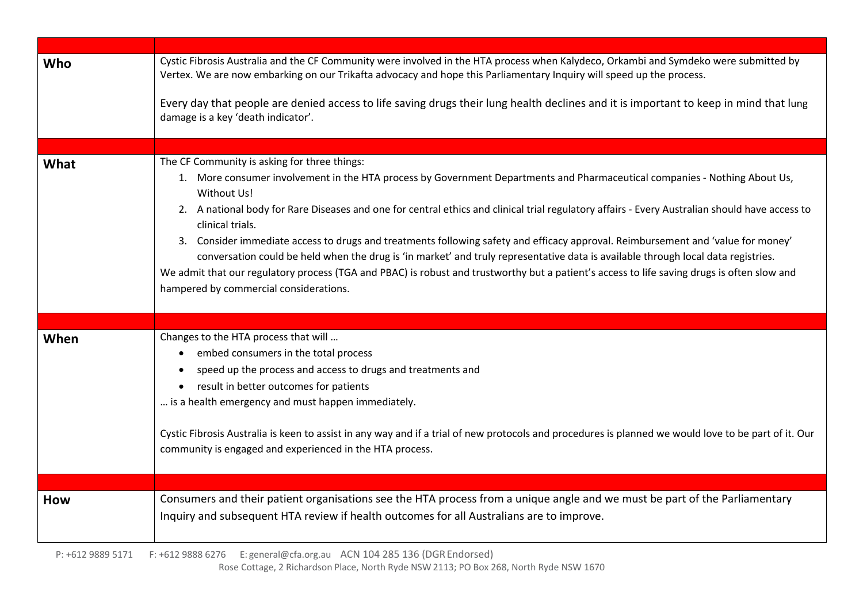| Who  | Cystic Fibrosis Australia and the CF Community were involved in the HTA process when Kalydeco, Orkambi and Symdeko were submitted by<br>Vertex. We are now embarking on our Trikafta advocacy and hope this Parliamentary Inquiry will speed up the process.<br>Every day that people are denied access to life saving drugs their lung health declines and it is important to keep in mind that lung<br>damage is a key 'death indicator'.                                                                                                                                                                                                                                                                                                                                                                                       |
|------|-----------------------------------------------------------------------------------------------------------------------------------------------------------------------------------------------------------------------------------------------------------------------------------------------------------------------------------------------------------------------------------------------------------------------------------------------------------------------------------------------------------------------------------------------------------------------------------------------------------------------------------------------------------------------------------------------------------------------------------------------------------------------------------------------------------------------------------|
|      |                                                                                                                                                                                                                                                                                                                                                                                                                                                                                                                                                                                                                                                                                                                                                                                                                                   |
| What | The CF Community is asking for three things:<br>1. More consumer involvement in the HTA process by Government Departments and Pharmaceutical companies - Nothing About Us,<br>Without Us!<br>2. A national body for Rare Diseases and one for central ethics and clinical trial regulatory affairs - Every Australian should have access to<br>clinical trials.<br>3. Consider immediate access to drugs and treatments following safety and efficacy approval. Reimbursement and 'value for money'<br>conversation could be held when the drug is 'in market' and truly representative data is available through local data registries.<br>We admit that our regulatory process (TGA and PBAC) is robust and trustworthy but a patient's access to life saving drugs is often slow and<br>hampered by commercial considerations. |
|      |                                                                                                                                                                                                                                                                                                                                                                                                                                                                                                                                                                                                                                                                                                                                                                                                                                   |
| When | Changes to the HTA process that will<br>embed consumers in the total process<br>$\bullet$<br>speed up the process and access to drugs and treatments and<br>result in better outcomes for patients<br>$\bullet$<br>is a health emergency and must happen immediately.<br>Cystic Fibrosis Australia is keen to assist in any way and if a trial of new protocols and procedures is planned we would love to be part of it. Our<br>community is engaged and experienced in the HTA process.                                                                                                                                                                                                                                                                                                                                         |
|      |                                                                                                                                                                                                                                                                                                                                                                                                                                                                                                                                                                                                                                                                                                                                                                                                                                   |
| How  | Consumers and their patient organisations see the HTA process from a unique angle and we must be part of the Parliamentary<br>Inquiry and subsequent HTA review if health outcomes for all Australians are to improve.                                                                                                                                                                                                                                                                                                                                                                                                                                                                                                                                                                                                            |

 P: +612 9889 5171 F: +612 9888 6276 E: general@cfa.org.au ACN 104 285 136 (DGREndorsed) Rose Cottage, 2 Richardson Place, North Ryde NSW 2113; PO Box 268, North Ryde NSW 1670